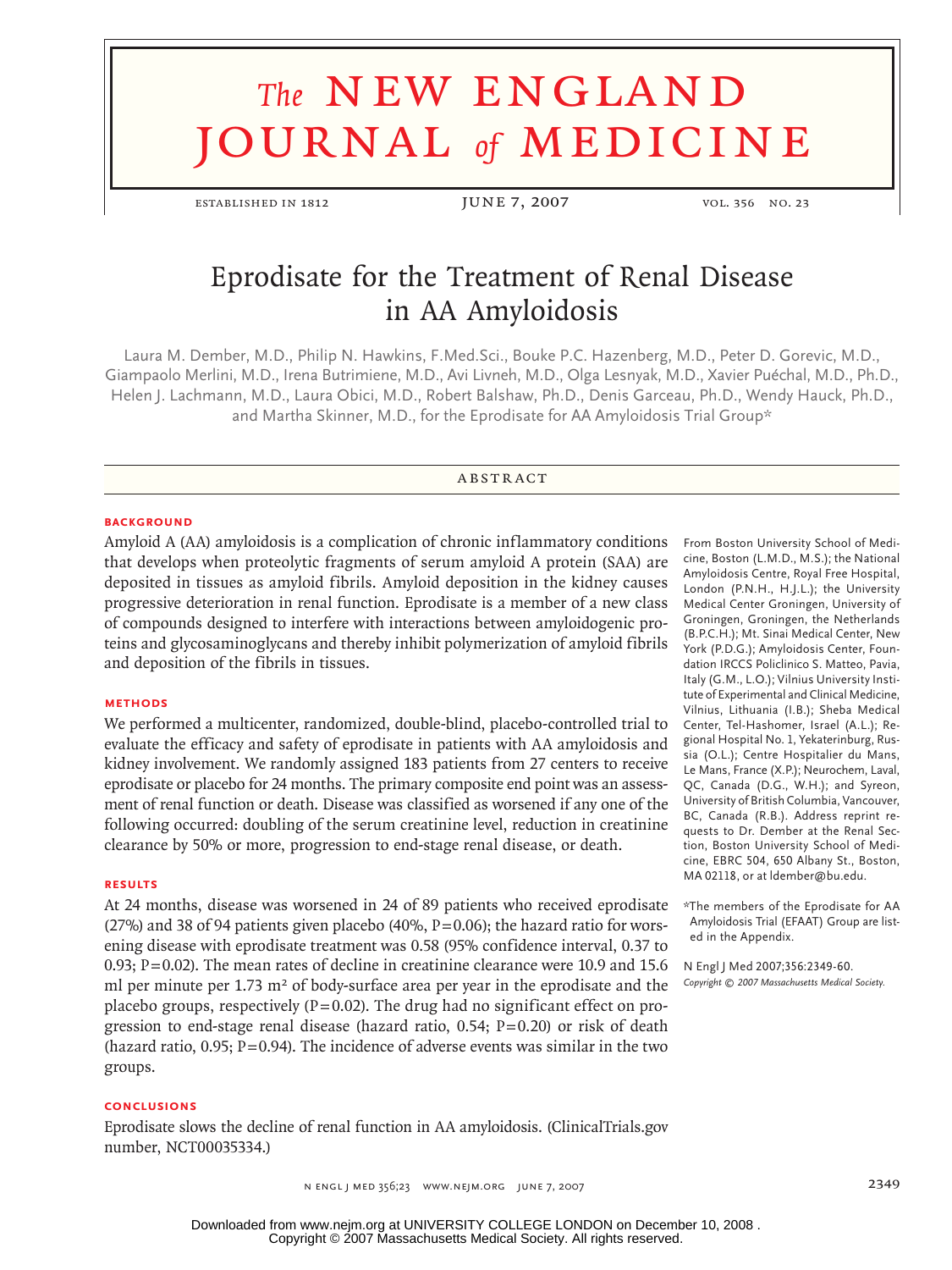# **The NEW ENGLAND** journal *of* medicine

established in 1812 JUNE 7, 2007 vol. 356 no. 23

# Eprodisate for the Treatment of Renal Disease in AA Amyloidosis

Laura M. Dember, M.D., Philip N. Hawkins, F.Med.Sci., Bouke P.C. Hazenberg, M.D., Peter D. Gorevic, M.D., Giampaolo Merlini, M.D., Irena Butrimiene, M.D., Avi Livneh, M.D., Olga Lesnyak, M.D., Xavier Puéchal, M.D., Ph.D., Helen J. Lachmann, M.D., Laura Obici, M.D., Robert Balshaw, Ph.D., Denis Garceau, Ph.D., Wendy Hauck, Ph.D., and Martha Skinner, M.D., for the Eprodisate for AA Amyloidosis Trial Group\*

# **ABSTRACT**

#### **BACKGROUND**

Amyloid A (AA) amyloidosis is a complication of chronic inflammatory conditions that develops when proteolytic fragments of serum amyloid A protein (SAA) are deposited in tissues as amyloid fibrils. Amyloid deposition in the kidney causes progressive deterioration in renal function. Eprodisate is a member of a new class of compounds designed to interfere with interactions between amyloidogenic proteins and glycosaminoglycans and thereby inhibit polymerization of amyloid fibrils and deposition of the fibrils in tissues.

# **Methods**

We performed a multicenter, randomized, double-blind, placebo-controlled trial to evaluate the efficacy and safety of eprodisate in patients with AA amyloidosis and kidney involvement. We randomly assigned 183 patients from 27 centers to receive eprodisate or placebo for 24 months. The primary composite end point was an assessment of renal function or death. Disease was classified as worsened if any one of the following occurred: doubling of the serum creatinine level, reduction in creatinine clearance by 50% or more, progression to end-stage renal disease, or death.

#### **Results**

At 24 months, disease was worsened in 24 of 89 patients who received eprodisate (27%) and 38 of 94 patients given placebo (40%,  $P=0.06$ ); the hazard ratio for worsening disease with eprodisate treatment was 0.58 (95% confidence interval, 0.37 to 0.93;  $P=0.02$ ). The mean rates of decline in creatinine clearance were 10.9 and 15.6 ml per minute per  $1.73 \text{ m}^2$  of body-surface area per year in the eprodisate and the placebo groups, respectively ( $P=0.02$ ). The drug had no significant effect on progression to end-stage renal disease (hazard ratio,  $0.54$ ;  $P=0.20$ ) or risk of death (hazard ratio,  $0.95$ ;  $P=0.94$ ). The incidence of adverse events was similar in the two groups.

#### **Conclusions**

Eprodisate slows the decline of renal function in AA amyloidosis. (ClinicalTrials.gov number, NCT00035334.)

From Boston University School of Medicine, Boston (L.M.D., M.S.); the National Amyloidosis Centre, Royal Free Hospital, London (P.N.H., H.J.L.); the University Medical Center Groningen, University of Groningen, Groningen, the Netherlands (B.P.C.H.); Mt. Sinai Medical Center, New York (P.D.G.); Amyloidosis Center, Foundation IRCCS Policlinico S. Matteo, Pavia, Italy (G.M., L.O.); Vilnius University Institute of Experimental and Clinical Medicine, Vilnius, Lithuania (I.B.); Sheba Medical Center, Tel-Hashomer, Israel (A.L.); Regional Hospital No. 1, Yekaterinburg, Russia (O.L.); Centre Hospitalier du Mans, Le Mans, France (X.P.); Neurochem, Laval, QC, Canada (D.G., W.H.); and Syreon, University of British Columbia, Vancouver, BC, Canada (R.B.). Address reprint requests to Dr. Dember at the Renal Section, Boston University School of Medicine, EBRC 504, 650 Albany St., Boston, MA 02118, or at ldember@bu.edu.

\*The members of the Eprodisate for AA Amyloidosis Trial (EFAAT) Group are listed in the Appendix.

N Engl J Med 2007;356:2349-60. *Copyright © 2007 Massachusetts Medical Society.*

n engl j med 356;23 www.nejm.org june 7, 2007 2349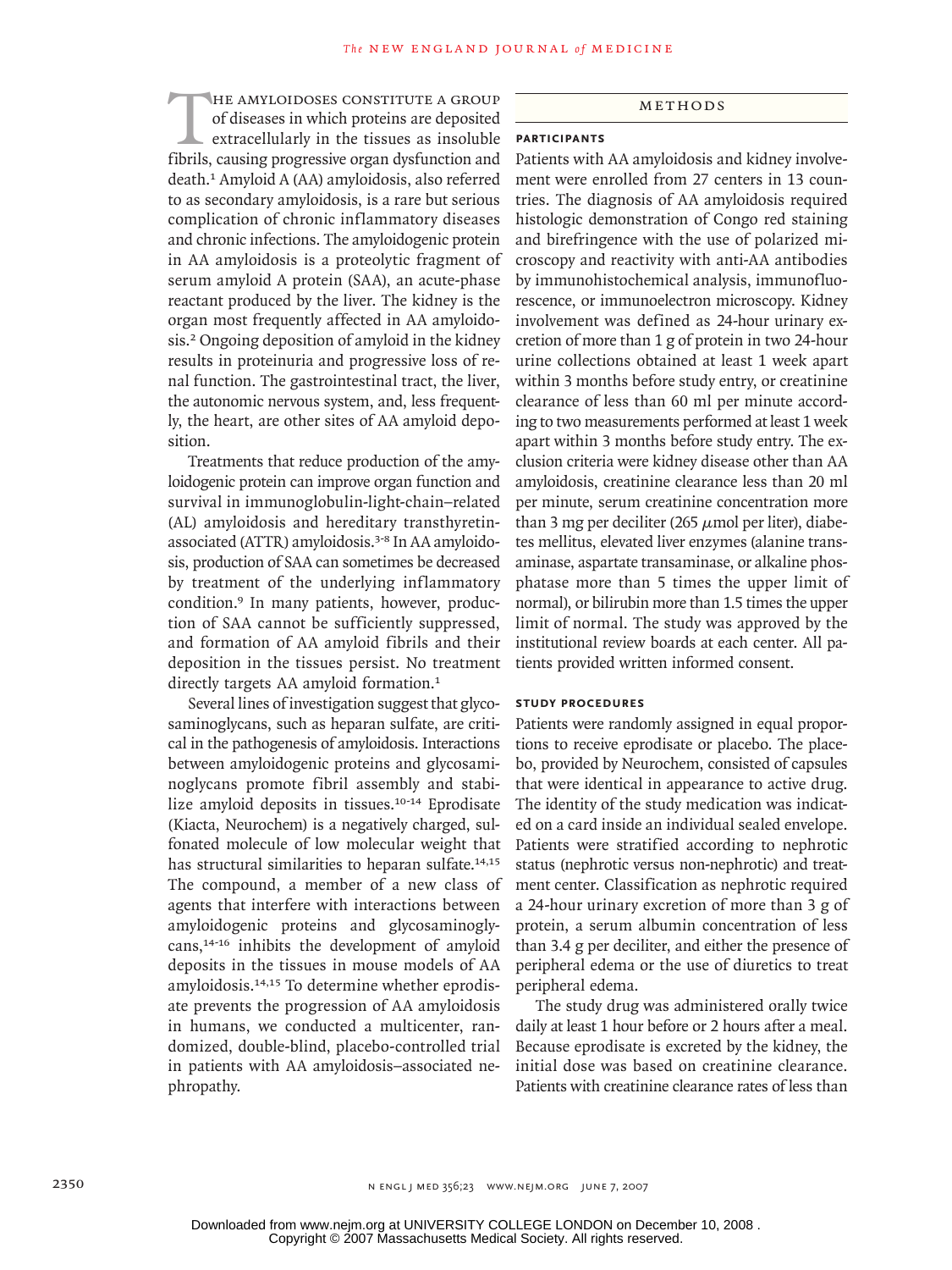THE AMYLOIDOSES CONSTITUTE A GROUP of diseases in which proteins are deposited extracellularly in the tissues as insoluble fibrils, causing progressive organ dysfunction and of diseases in which proteins are deposited extracellularly in the tissues as insoluble death.1 Amyloid A (AA) amyloidosis, also referred to as secondary amyloidosis, is a rare but serious complication of chronic inflammatory diseases and chronic infections. The amyloidogenic protein in AA amyloidosis is a proteolytic fragment of serum amyloid A protein (SAA), an acute-phase reactant produced by the liver. The kidney is the organ most frequently affected in AA amyloidosis.2 Ongoing deposition of amyloid in the kidney results in proteinuria and progressive loss of renal function. The gastrointestinal tract, the liver, the autonomic nervous system, and, less frequently, the heart, are other sites of AA amyloid deposition.

Treatments that reduce production of the amyloidogenic protein can improve organ function and survival in immunoglobulin-light-chain–related (AL) amyloidosis and hereditary transthyretinassociated (ATTR) amyloidosis.3-8 In AA amyloidosis, production of SAA can sometimes be decreased by treatment of the underlying inflammatory condition.9 In many patients, however, production of SAA cannot be sufficiently suppressed, and formation of AA amyloid fibrils and their deposition in the tissues persist. No treatment directly targets AA amyloid formation.<sup>1</sup>

Several lines of investigation suggest that glycosaminoglycans, such as heparan sulfate, are critical in the pathogenesis of amyloidosis. Interactions between amyloidogenic proteins and glycosaminoglycans promote fibril assembly and stabilize amyloid deposits in tissues.10-14 Eprodisate (Kiacta, Neurochem) is a negatively charged, sulfonated molecule of low molecular weight that has structural similarities to heparan sulfate.<sup>14,15</sup> The compound, a member of a new class of agents that interfere with interactions between amyloidogenic proteins and glycosaminoglycans,14-16 inhibits the development of amyloid deposits in the tissues in mouse models of AA amyloidosis.14,15 To determine whether eprodisate prevents the progression of AA amyloidosis in humans, we conducted a multicenter, randomized, double-blind, placebo-controlled trial in patients with AA amyloidosis–associated nephropathy.

# **METHODS**

# **Participants**

Patients with AA amyloidosis and kidney involvement were enrolled from 27 centers in 13 countries. The diagnosis of AA amyloidosis required histologic demonstration of Congo red staining and birefringence with the use of polarized microscopy and reactivity with anti-AA antibodies by immunohistochemical analysis, immunofluorescence, or immunoelectron microscopy. Kidney involvement was defined as 24-hour urinary excretion of more than 1 g of protein in two 24-hour urine collections obtained at least 1 week apart within 3 months before study entry, or creatinine clearance of less than 60 ml per minute according to two measurements performed at least 1 week apart within 3 months before study entry. The exclusion criteria were kidney disease other than AA amyloidosis, creatinine clearance less than 20 ml per minute, serum creatinine concentration more than 3 mg per deciliter (265  $\mu$ mol per liter), diabetes mellitus, elevated liver enzymes (alanine transaminase, aspartate transaminase, or alkaline phosphatase more than 5 times the upper limit of normal), or bilirubin more than 1.5 times the upper limit of normal. The study was approved by the institutional review boards at each center. All patients provided written informed consent.

#### **Study Procedures**

Patients were randomly assigned in equal proportions to receive eprodisate or placebo. The placebo, provided by Neurochem, consisted of capsules that were identical in appearance to active drug. The identity of the study medication was indicated on a card inside an individual sealed envelope. Patients were stratified according to nephrotic status (nephrotic versus non-nephrotic) and treatment center. Classification as nephrotic required a 24-hour urinary excretion of more than 3 g of protein, a serum albumin concentration of less than 3.4 g per deciliter, and either the presence of peripheral edema or the use of diuretics to treat peripheral edema.

The study drug was administered orally twice daily at least 1 hour before or 2 hours after a meal. Because eprodisate is excreted by the kidney, the initial dose was based on creatinine clearance. Patients with creatinine clearance rates of less than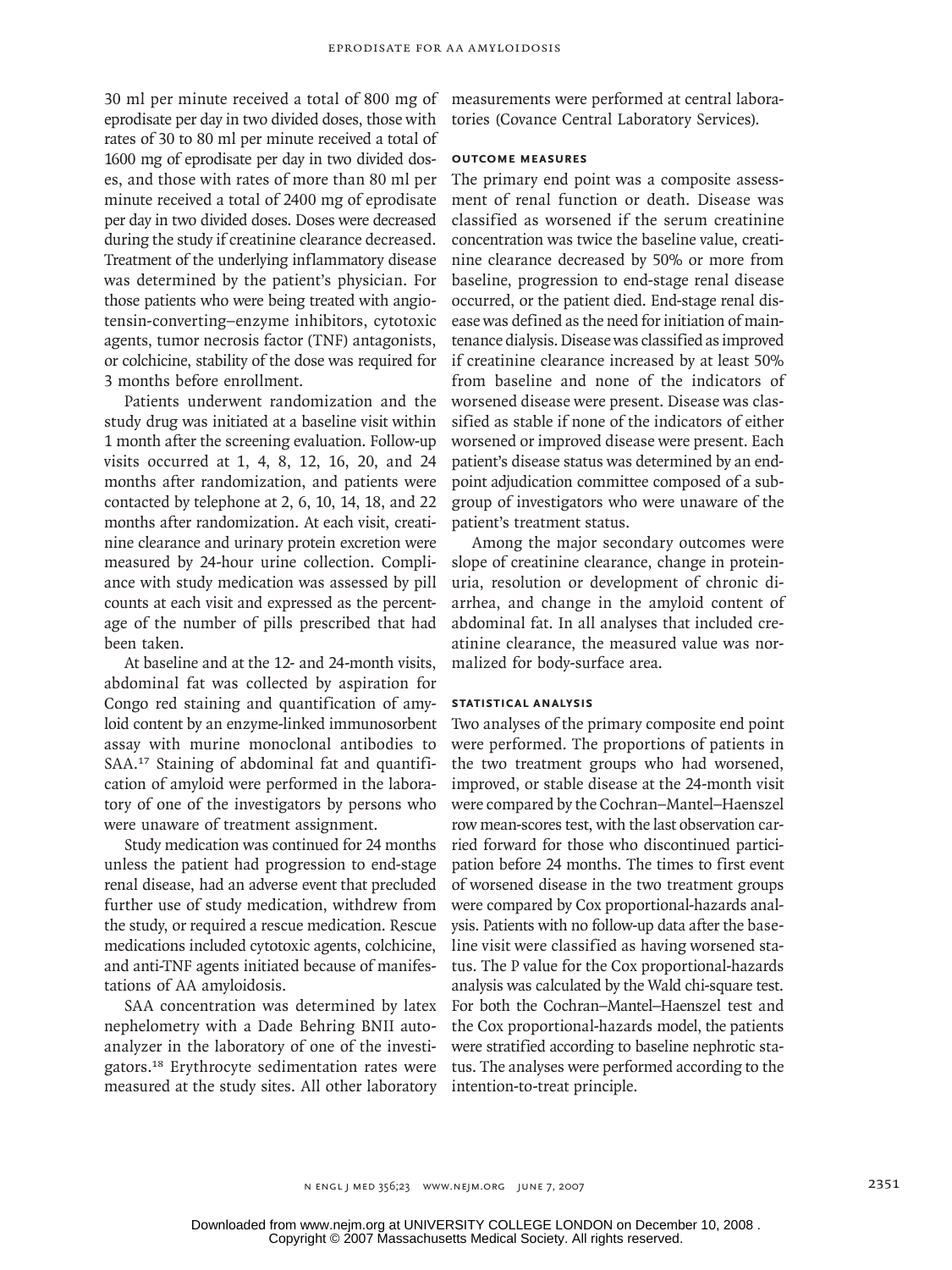30 ml per minute received a total of 800 mg of eprodisate per day in two divided doses, those with rates of 30 to 80 ml per minute received a total of 1600 mg of eprodisate per day in two divided doses, and those with rates of more than 80 ml per minute received a total of 2400 mg of eprodisate per day in two divided doses. Doses were decreased during the study if creatinine clearance decreased. Treatment of the underlying inflammatory disease was determined by the patient's physician. For those patients who were being treated with angiotensin-converting–enzyme inhibitors, cytotoxic agents, tumor necrosis factor (TNF) antagonists, or colchicine, stability of the dose was required for 3 months before enrollment.

Patients underwent randomization and the study drug was initiated at a baseline visit within 1 month after the screening evaluation. Follow-up visits occurred at 1, 4, 8, 12, 16, 20, and 24 months after randomization, and patients were contacted by telephone at 2, 6, 10, 14, 18, and 22 months after randomization. At each visit, creatinine clearance and urinary protein excretion were measured by 24-hour urine collection. Compliance with study medication was assessed by pill counts at each visit and expressed as the percentage of the number of pills prescribed that had been taken.

At baseline and at the 12- and 24-month visits, abdominal fat was collected by aspiration for Congo red staining and quantification of amyloid content by an enzyme-linked immunosorbent assay with murine monoclonal antibodies to SAA.17 Staining of abdominal fat and quantification of amyloid were performed in the laboratory of one of the investigators by persons who were unaware of treatment assignment.

Study medication was continued for 24 months unless the patient had progression to end-stage renal disease, had an adverse event that precluded further use of study medication, withdrew from the study, or required a rescue medication. Rescue medications included cytotoxic agents, colchicine, and anti-TNF agents initiated because of manifestations of AA amyloidosis.

SAA concentration was determined by latex nephelometry with a Dade Behring BNII autoanalyzer in the laboratory of one of the investigators.18 Erythrocyte sedimentation rates were measured at the study sites. All other laboratory

measurements were performed at central laboratories (Covance Central Laboratory Services).

## **Outcome Measures**

The primary end point was a composite assessment of renal function or death. Disease was classified as worsened if the serum creatinine concentration was twice the baseline value, creatinine clearance decreased by 50% or more from baseline, progression to end-stage renal disease occurred, or the patient died. End-stage renal disease was defined as the need for initiation of maintenance dialysis. Disease was classified as improved if creatinine clearance increased by at least 50% from baseline and none of the indicators of worsened disease were present. Disease was classified as stable if none of the indicators of either worsened or improved disease were present. Each patient's disease status was determined by an endpoint adjudication committee composed of a subgroup of investigators who were unaware of the patient's treatment status.

Among the major secondary outcomes were slope of creatinine clearance, change in proteinuria, resolution or development of chronic diarrhea, and change in the amyloid content of abdominal fat. In all analyses that included creatinine clearance, the measured value was normalized for body-surface area.

#### **Statistical Analysis**

Two analyses of the primary composite end point were performed. The proportions of patients in the two treatment groups who had worsened, improved, or stable disease at the 24-month visit were compared by the Cochran–Mantel–Haenszel row mean-scores test, with the last observation carried forward for those who discontinued participation before 24 months. The times to first event of worsened disease in the two treatment groups were compared by Cox proportional-hazards analysis. Patients with no follow-up data after the baseline visit were classified as having worsened status. The P value for the Cox proportional-hazards analysis was calculated by the Wald chi-square test. For both the Cochran–Mantel–Haenszel test and the Cox proportional-hazards model, the patients were stratified according to baseline nephrotic status. The analyses were performed according to the intention-to-treat principle.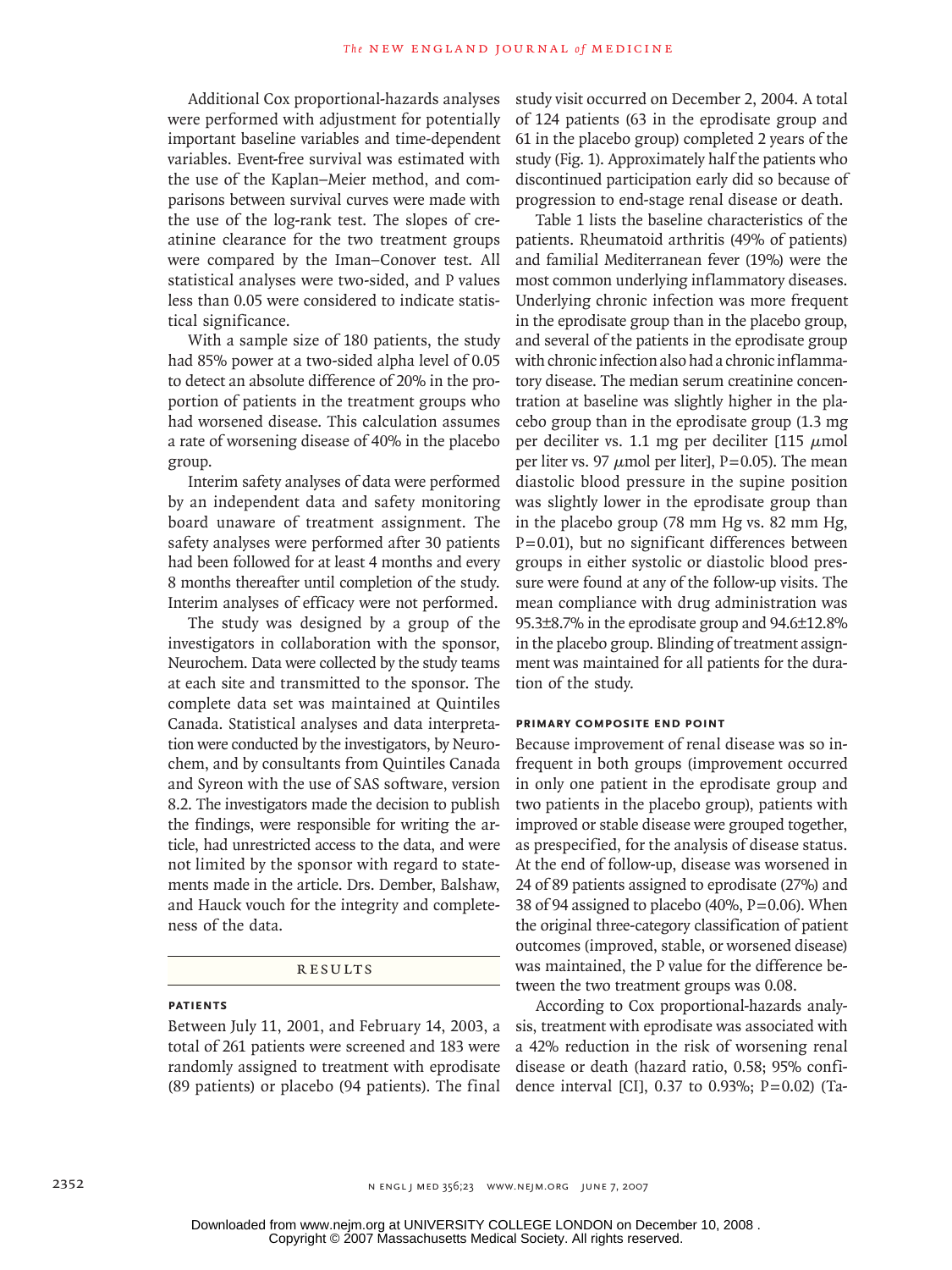Additional Cox proportional-hazards analyses were performed with adjustment for potentially important baseline variables and time-dependent variables. Event-free survival was estimated with the use of the Kaplan–Meier method, and comparisons between survival curves were made with the use of the log-rank test. The slopes of creatinine clearance for the two treatment groups were compared by the Iman–Conover test. All statistical analyses were two-sided, and P values less than 0.05 were considered to indicate statistical significance.

With a sample size of 180 patients, the study had 85% power at a two-sided alpha level of 0.05 to detect an absolute difference of 20% in the proportion of patients in the treatment groups who had worsened disease. This calculation assumes a rate of worsening disease of 40% in the placebo group.

Interim safety analyses of data were performed by an independent data and safety monitoring board unaware of treatment assignment. The safety analyses were performed after 30 patients had been followed for at least 4 months and every 8 months thereafter until completion of the study. Interim analyses of efficacy were not performed.

The study was designed by a group of the investigators in collaboration with the sponsor, Neurochem. Data were collected by the study teams at each site and transmitted to the sponsor. The complete data set was maintained at Quintiles Canada. Statistical analyses and data interpretation were conducted by the investigators, by Neurochem, and by consultants from Quintiles Canada and Syreon with the use of SAS software, version 8.2. The investigators made the decision to publish the findings, were responsible for writing the article, had unrestricted access to the data, and were not limited by the sponsor with regard to statements made in the article. Drs. Dember, Balshaw, and Hauck vouch for the integrity and completeness of the data.

#### **RESULTS**

# **Patients**

Between July 11, 2001, and February 14, 2003, a total of 261 patients were screened and 183 were randomly assigned to treatment with eprodisate (89 patients) or placebo (94 patients). The final

study visit occurred on December 2, 2004. A total of 124 patients (63 in the eprodisate group and 61 in the placebo group) completed 2 years of the study (Fig. 1). Approximately half the patients who discontinued participation early did so because of progression to end-stage renal disease or death.

Table 1 lists the baseline characteristics of the patients. Rheumatoid arthritis (49% of patients) and familial Mediterranean fever (19%) were the most common underlying inflammatory diseases. Underlying chronic infection was more frequent in the eprodisate group than in the placebo group, and several of the patients in the eprodisate group with chronic infection also had a chronic inflammatory disease. The median serum creatinine concentration at baseline was slightly higher in the placebo group than in the eprodisate group (1.3 mg per deciliter vs. 1.1 mg per deciliter [115  $\mu$ mol per liter vs. 97  $\mu$ mol per liter], P=0.05). The mean diastolic blood pressure in the supine position was slightly lower in the eprodisate group than in the placebo group (78 mm Hg vs. 82 mm Hg,  $P=0.01$ ), but no significant differences between groups in either systolic or diastolic blood pressure were found at any of the follow-up visits. The mean compliance with drug administration was 95.3±8.7% in the eprodisate group and 94.6±12.8% in the placebo group. Blinding of treatment assignment was maintained for all patients for the duration of the study.

# **Primary composite End Point**

Because improvement of renal disease was so infrequent in both groups (improvement occurred in only one patient in the eprodisate group and two patients in the placebo group), patients with improved or stable disease were grouped together, as prespecified, for the analysis of disease status. At the end of follow-up, disease was worsened in 24 of 89 patients assigned to eprodisate (27%) and 38 of 94 assigned to placebo (40%,  $P=0.06$ ). When the original three-category classification of patient outcomes (improved, stable, or worsened disease) was maintained, the P value for the difference between the two treatment groups was 0.08.

According to Cox proportional-hazards analysis, treatment with eprodisate was associated with a 42% reduction in the risk of worsening renal disease or death (hazard ratio, 0.58; 95% confidence interval [CI], 0.37 to 0.93%;  $P = 0.02$ ) (Ta-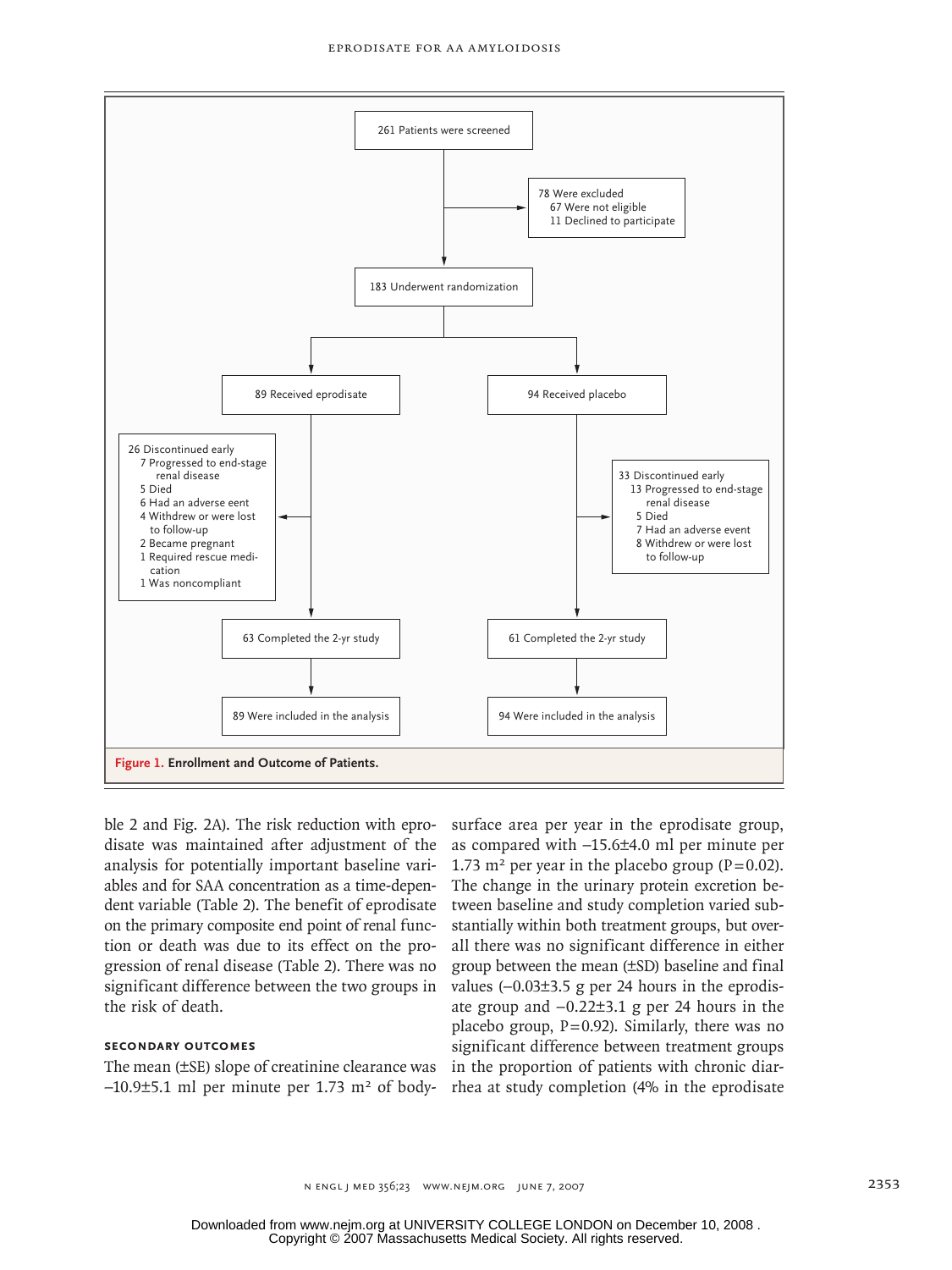

ble 2 and Fig. 2A). The risk reduction with eprodisate was maintained after adjustment of the as analysis for potentially important baseline variables and for SAA concentration as a time-dependent variable (Table 2). The benefit of eprodisate on the primary composite end point of renal function or death was due to its effect on the pro- all there was a gression of renal disease (Table 2). There was no significant difference between the two groups in the risk of death.

# **Secondary Outcomes**

The mean (±SE) slope of creatinine clearance was  $-10.9\pm5.1$  ml per minute per 1.73 m<sup>2</sup> of body-

surface area per year in the eprodisate group, as compared with -15.6±4.0 ml per minute per 1.73 m<sup>2</sup> per year in the placebo group (P=0.02). -depen- The change in the urinary protein excretion befit of eprodisate tween baseline and study completion varied substandard even baseline and stady completion varied sub-<br>func-<br>stantially within both treatment groups, but overall there was no significant difference in either group between the mean (±SD) baseline and final values (−0.03±3.5 g per 24 hours in the eprodisate group and −0.22±3.1 g per 24 hours in the placebo group,  $P=0.92$ ). Similarly, there was no significant difference between treatment groups in the proportion of patients with chronic diarrhea at study completion (4% in the eprodisate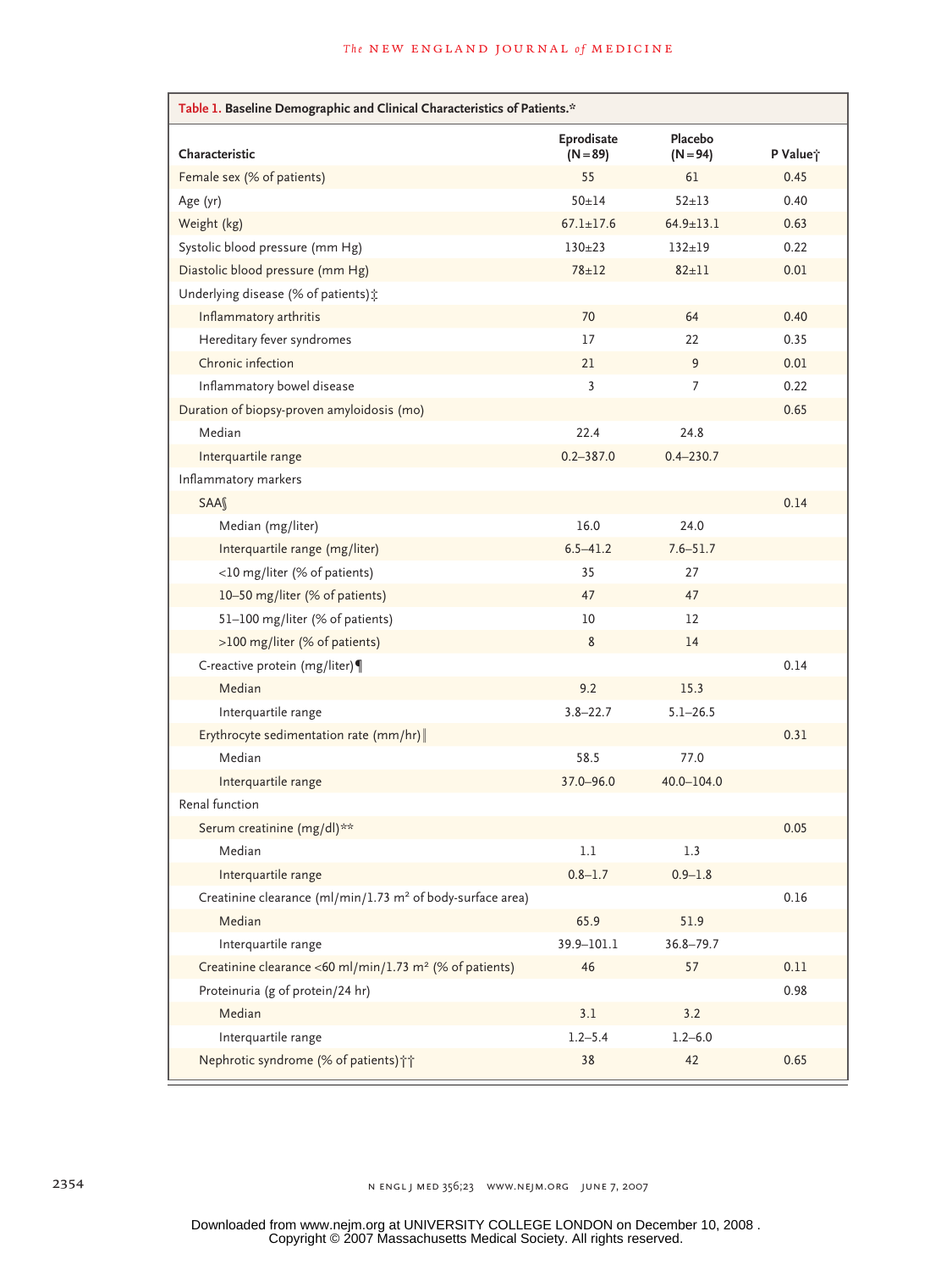| Table 1. Baseline Demographic and Clinical Characteristics of Patients.* |                          |                       |          |  |
|--------------------------------------------------------------------------|--------------------------|-----------------------|----------|--|
| Characteristic                                                           | Eprodisate<br>$(N = 89)$ | Placebo<br>$(N = 94)$ | P Value; |  |
| Female sex (% of patients)                                               | 55                       | 61                    | 0.45     |  |
| Age (yr)                                                                 | $50 + 14$                | $52 + 13$             | 0.40     |  |
| Weight (kg)                                                              | $67.1 \pm 17.6$          | $64.9 \pm 13.1$       | 0.63     |  |
| Systolic blood pressure (mm Hg)                                          | $130+23$                 | $132 + 19$            | 0.22     |  |
| Diastolic blood pressure (mm Hg)                                         | $78 + 12$                | $82 + 11$             | 0.01     |  |
| Underlying disease (% of patients) :                                     |                          |                       |          |  |
| Inflammatory arthritis                                                   | 70                       | 64                    | 0.40     |  |
| Hereditary fever syndromes                                               | 17                       | 22                    | 0.35     |  |
| Chronic infection                                                        | 21                       | 9                     | 0.01     |  |
| Inflammatory bowel disease                                               | 3                        | 7                     | 0.22     |  |
| Duration of biopsy-proven amyloidosis (mo)                               |                          |                       | 0.65     |  |
| Median                                                                   | 22.4                     | 24.8                  |          |  |
| Interquartile range                                                      | $0.2 - 387.0$            | $0.4 - 230.7$         |          |  |
| Inflammatory markers                                                     |                          |                       |          |  |
| SAAS                                                                     |                          |                       | 0.14     |  |
| Median (mg/liter)                                                        | 16.0                     | 24.0                  |          |  |
| Interquartile range (mg/liter)                                           | $6.5 - 41.2$             | $7.6 - 51.7$          |          |  |
| <10 mg/liter (% of patients)                                             | 35                       | 27                    |          |  |
| 10-50 mg/liter (% of patients)                                           | 47                       | 47                    |          |  |
| 51-100 mg/liter (% of patients)                                          | 10                       | $12 \overline{ }$     |          |  |
| >100 mg/liter (% of patients)                                            | 8                        | 14                    |          |  |
| C-reactive protein (mg/liter)                                            |                          |                       | 0.14     |  |
| Median                                                                   | 9.2                      | 15.3                  |          |  |
| Interquartile range                                                      | $3.8 - 22.7$             | $5.1 - 26.5$          |          |  |
| Erythrocyte sedimentation rate (mm/hr)                                   |                          |                       | 0.31     |  |
| Median                                                                   | 58.5                     | 77.0                  |          |  |
| Interquartile range                                                      | 37.0-96.0                | 40.0-104.0            |          |  |
| Renal function                                                           |                          |                       |          |  |
| Serum creatinine (mg/dl)**                                               |                          |                       | 0.05     |  |
| Median                                                                   | 1.1                      | 1.3                   |          |  |
| Interquartile range                                                      | $0.8 - 1.7$              | $0.9 - 1.8$           |          |  |
| Creatinine clearance (ml/min/1.73 m <sup>2</sup> of body-surface area)   |                          |                       | 0.16     |  |
| Median                                                                   | 65.9                     | 51.9                  |          |  |
| Interquartile range                                                      | 39.9-101.1               | $36.8 - 79.7$         |          |  |
| Creatinine clearance <60 ml/min/1.73 m <sup>2</sup> (% of patients)      | 46                       | 57                    | 0.11     |  |
| Proteinuria (g of protein/24 hr)                                         |                          |                       | 0.98     |  |
| Median                                                                   | 3.1                      | 3.2                   |          |  |
| Interquartile range                                                      | $1.2 - 5.4$              | $1.2 - 6.0$           |          |  |
| Nephrotic syndrome (% of patients) ++                                    | 38                       | 42                    | 0.65     |  |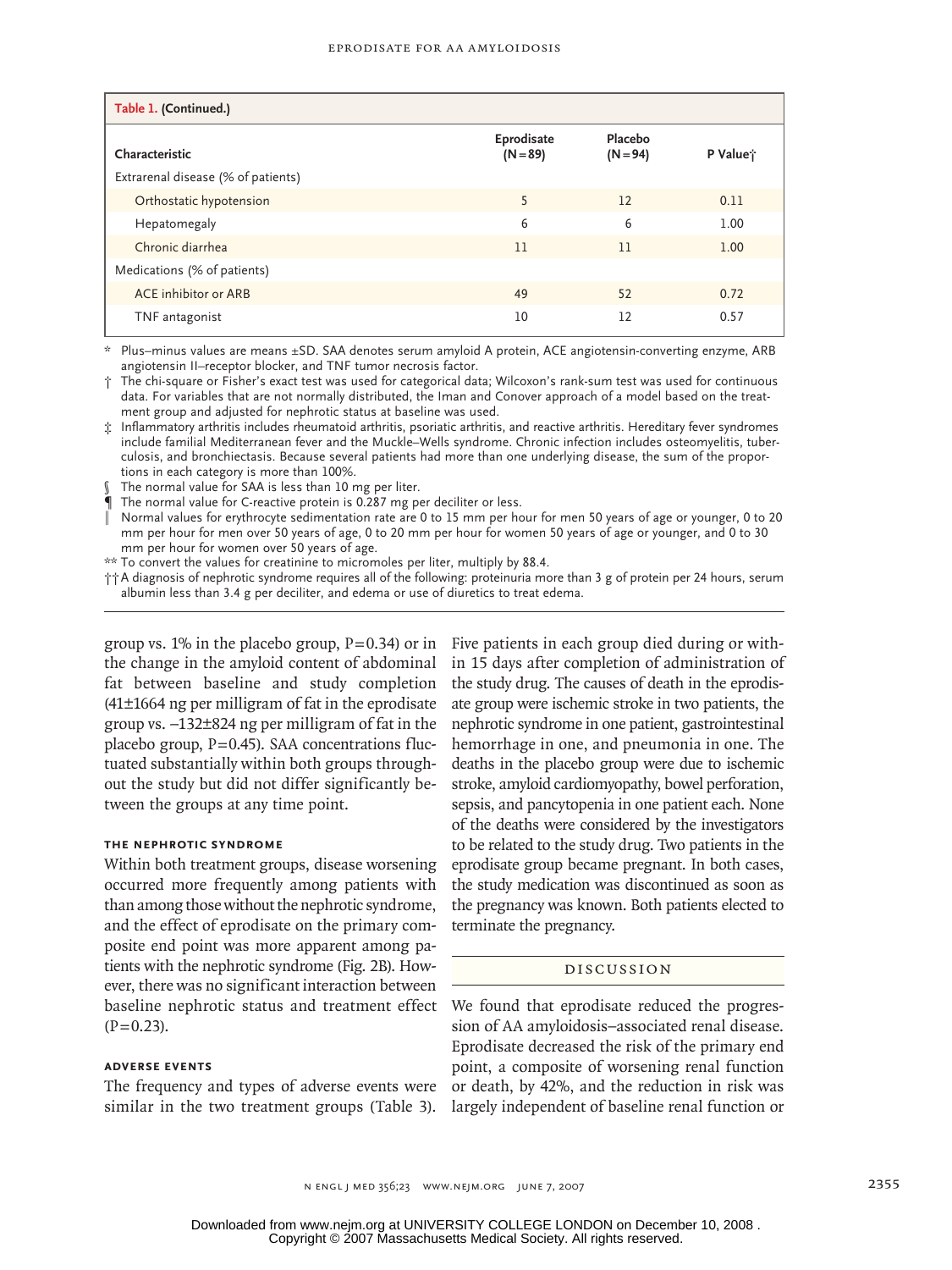| Table 1. (Continued.)              |                          |                       |                      |
|------------------------------------|--------------------------|-----------------------|----------------------|
| Characteristic                     | Eprodisate<br>$(N = 89)$ | Placebo<br>$(N = 94)$ | P Value <sup>*</sup> |
| Extrarenal disease (% of patients) |                          |                       |                      |
| Orthostatic hypotension            | 5                        | 12                    | 0.11                 |
| Hepatomegaly                       | 6                        | 6                     | 1.00                 |
| Chronic diarrhea                   | 11                       | 11                    | 1.00                 |
| Medications (% of patients)        |                          |                       |                      |
| ACE inhibitor or ARB               | 49                       | 52                    | 0.72                 |
| TNF antagonist                     | 10                       | 12                    | 0.57                 |

\* Plus–minus values are means ±SD. SAA denotes serum amyloid A protein, ACE angiotensin-converting enzyme, ARB angiotensin II–receptor blocker, and TNF tumor necrosis factor.

† The chi-square or Fisher's exact test was used for categorical data; Wilcoxon's rank-sum test was used for continuous data. For variables that are not normally distributed, the Iman and Conover approach of a model based on the treatment group and adjusted for nephrotic status at baseline was used.

‡ Inflammatory arthritis includes rheumatoid arthritis, psoriatic arthritis, and reactive arthritis. Hereditary fever syndromes include familial Mediterranean fever and the Muckle–Wells syndrome. Chronic infection includes osteomyelitis, tuberculosis, and bronchiectasis. Because several patients had more than one underlying disease, the sum of the proportions in each category is more than 100%.

The normal value for SAA is less than 10 mg per liter.

The normal value for C-reactive protein is 0.287 mg per deciliter or less.

‖ Normal values for erythrocyte sedimentation rate are 0 to 15 mm per hour for men 50 years of age or younger, 0 to 20 mm per hour for men over 50 years of age, 0 to 20 mm per hour for women 50 years of age or younger, and 0 to 30 mm per hour for women over 50 years of age.

\*\* To convert the values for creatinine to micromoles per liter, multiply by 88.4.

††A diagnosis of nephrotic syndrome requires all of the following: proteinuria more than 3 g of protein per 24 hours, serum albumin less than 3.4 g per deciliter, and edema or use of diuretics to treat edema.

the change in the amyloid content of abdominal fat between baseline and study completion (41±1664 ng per milligram of fat in the eprodisate group vs. −132±824 ng per milligram of fat in the placebo group,  $P=0.45$ ). SAA concentrations fluctuated substantially within both groups throughout the study but did not differ significantly between the groups at any time point.

# **the Nephrotic Syndrome**

Within both treatment groups, disease worsening occurred more frequently among patients with than among those without the nephrotic syndrome, and the effect of eprodisate on the primary composite end point was more apparent among patients with the nephrotic syndrome (Fig. 2B). However, there was no significant interaction between baseline nephrotic status and treatment effect  $(P=0.23)$ .

### **Adverse Events**

The frequency and types of adverse events were similar in the two treatment groups (Table 3).

group vs. 1% in the placebo group, P=0.34) or in Five patients in each group died during or within 15 days after completion of administration of the study drug. The causes of death in the eprodisate group were ischemic stroke in two patients, the nephrotic syndrome in one patient, gastrointestinal hemorrhage in one, and pneumonia in one. The deaths in the placebo group were due to ischemic stroke, amyloid cardiomyopathy, bowel perforation, sepsis, and pancytopenia in one patient each. None of the deaths were considered by the investigators to be related to the study drug. Two patients in the eprodisate group became pregnant. In both cases, the study medication was discontinued as soon as the pregnancy was known. Both patients elected to terminate the pregnancy.

#### Discussion

We found that eprodisate reduced the progression of AA amyloidosis–associated renal disease. Eprodisate decreased the risk of the primary end point, a composite of worsening renal function or death, by 42%, and the reduction in risk was largely independent of baseline renal function or

n engl j med 356;23 www.nejm.org june 7, 2007 2355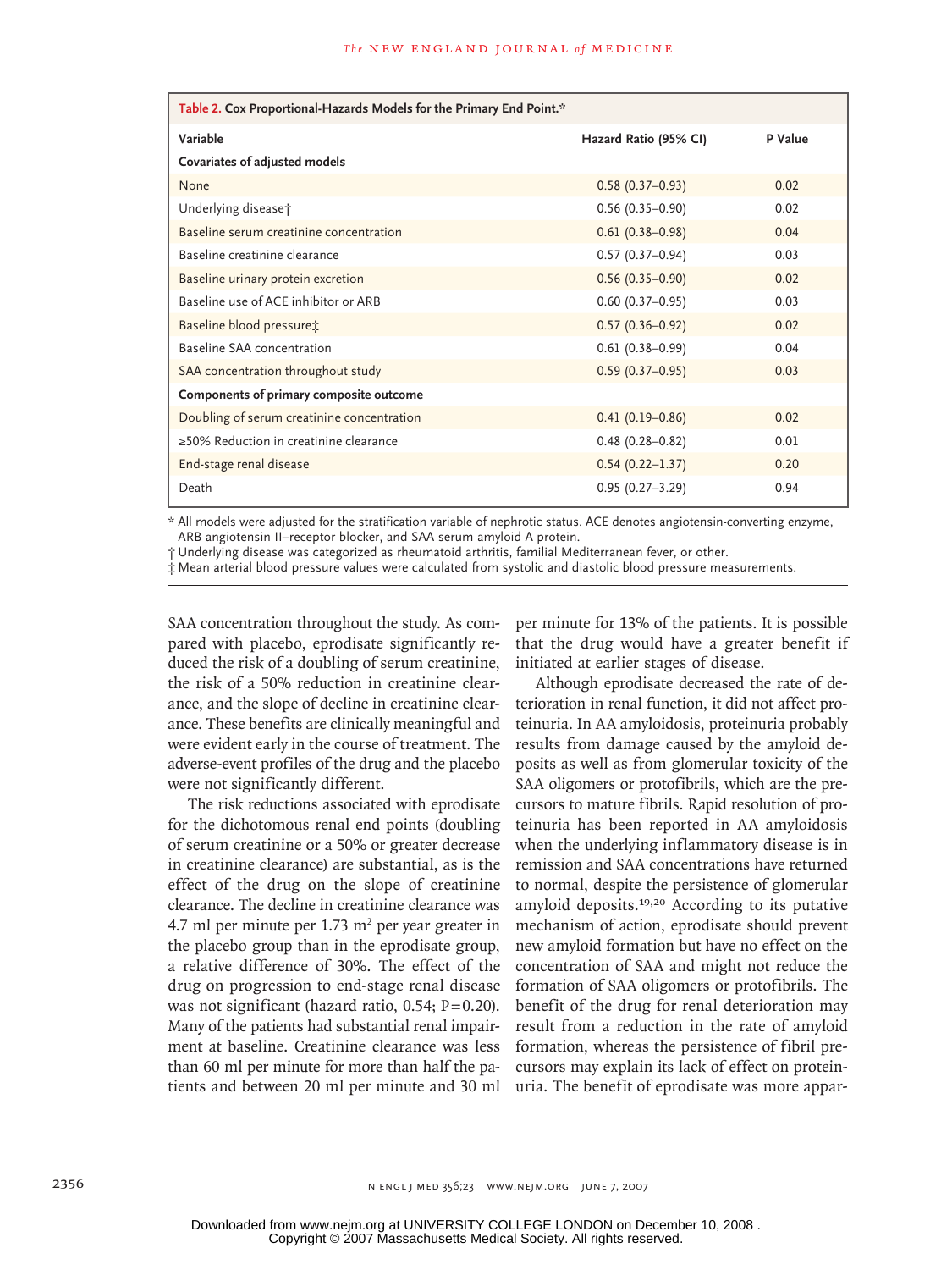| Table 2. Cox Proportional-Hazards Models for the Primary End Point.* |                       |         |  |  |
|----------------------------------------------------------------------|-----------------------|---------|--|--|
| Variable                                                             | Hazard Ratio (95% CI) | P Value |  |  |
| Covariates of adjusted models                                        |                       |         |  |  |
| None                                                                 | $0.58(0.37-0.93)$     | 0.02    |  |  |
| Underlying disease;                                                  | $0.56(0.35 - 0.90)$   | 0.02    |  |  |
| Baseline serum creatinine concentration                              | $0.61(0.38 - 0.98)$   | 0.04    |  |  |
| Baseline creatinine clearance                                        | $0.57(0.37-0.94)$     | 0.03    |  |  |
| Baseline urinary protein excretion                                   | $0.56(0.35 - 0.90)$   | 0.02    |  |  |
| Baseline use of ACE inhibitor or ARB                                 | $0.60(0.37-0.95)$     | 0.03    |  |  |
| Baseline blood pressuret                                             | $0.57(0.36 - 0.92)$   | 0.02    |  |  |
| Baseline SAA concentration                                           | $0.61(0.38 - 0.99)$   | 0.04    |  |  |
| SAA concentration throughout study                                   | $0.59(0.37 - 0.95)$   | 0.03    |  |  |
| Components of primary composite outcome                              |                       |         |  |  |
| Doubling of serum creatinine concentration                           | $0.41(0.19 - 0.86)$   | 0.02    |  |  |
| ≥50% Reduction in creatinine clearance                               | $0.48(0.28 - 0.82)$   | 0.01    |  |  |
| End-stage renal disease                                              | $0.54(0.22 - 1.37)$   | 0.20    |  |  |
| Death                                                                | $0.95(0.27 - 3.29)$   | 0.94    |  |  |

\* All models were adjusted for the stratification variable of nephrotic status. ACE denotes angiotensin-converting enzyme, ARB angiotensin II–receptor blocker, and SAA serum amyloid A protein.

† Underlying disease was categorized as rheumatoid arthritis, familial Mediterranean fever, or other.

‡ Mean arterial blood pressure values were calculated from systolic and diastolic blood pressure measurements.

SAA concentration throughout the study. As compared with placebo, eprodisate significantly reduced the risk of a doubling of serum creatinine, the risk of a 50% reduction in creatinine clearance, and the slope of decline in creatinine clearance. These benefits are clinically meaningful and were evident early in the course of treatment. The adverse-event profiles of the drug and the placebo were not significantly different.

The risk reductions associated with eprodisate for the dichotomous renal end points (doubling of serum creatinine or a 50% or greater decrease in creatinine clearance) are substantial, as is the effect of the drug on the slope of creatinine clearance. The decline in creatinine clearance was 4.7 ml per minute per  $1.73 \text{ m}^2$  per year greater in the placebo group than in the eprodisate group, a relative difference of 30%. The effect of the drug on progression to end-stage renal disease was not significant (hazard ratio,  $0.54$ ;  $P=0.20$ ). Many of the patients had substantial renal impairment at baseline. Creatinine clearance was less than 60 ml per minute for more than half the patients and between 20 ml per minute and 30 ml

per minute for 13% of the patients. It is possible that the drug would have a greater benefit if initiated at earlier stages of disease.

Although eprodisate decreased the rate of deterioration in renal function, it did not affect proteinuria. In AA amyloidosis, proteinuria probably results from damage caused by the amyloid deposits as well as from glomerular toxicity of the SAA oligomers or protofibrils, which are the precursors to mature fibrils. Rapid resolution of proteinuria has been reported in AA amyloidosis when the underlying inflammatory disease is in remission and SAA concentrations have returned to normal, despite the persistence of glomerular amyloid deposits.19,20 According to its putative mechanism of action, eprodisate should prevent new amyloid formation but have no effect on the concentration of SAA and might not reduce the formation of SAA oligomers or protofibrils. The benefit of the drug for renal deterioration may result from a reduction in the rate of amyloid formation, whereas the persistence of fibril precursors may explain its lack of effect on proteinuria. The benefit of eprodisate was more appar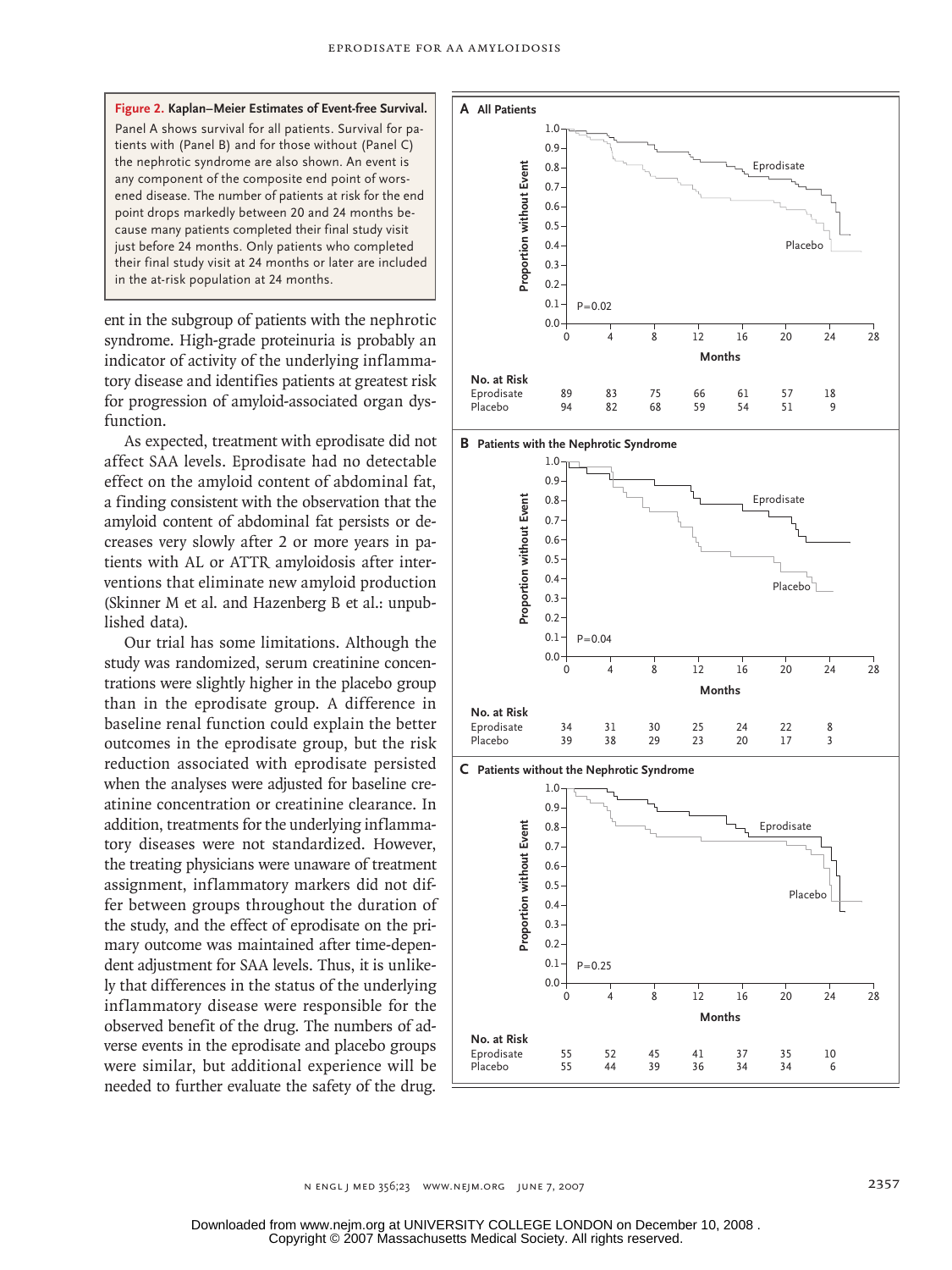**Figure 2. Kaplan–Meier Estimates of Event-free Survival. A All Patients** Panel A shows survival for all patients. Survival for patients with (Panel B) and for those without (Panel C) the nephrotic syndrome are also shown. An event is any component of the composite end point of worsened disease. The number of patients at risk for the end point drops markedly between 20 and 24 months because many patients completed their final study visit just before 24 months. Only patients who completed their final study visit at 24 months or later are included in the at-risk population at 24 months.

ent in the subgroup of patients with the nephrotic syndrome. High-grade proteinuria is probably an indicator of activity of the underlying inflammatory disease and identifies patients at greatest risk for progression of amyloid-associated organ dysfunction.

As expected, treatment with eprodisate did not affect SAA levels. Eprodisate had no detectable effect on the amyloid content of abdominal fat, a finding consistent with the observation that the amyloid content of abdominal fat persists or decreases very slowly after 2 or more years in patients with AL or ATTR amyloidosis after interventions that eliminate new amyloid production (Skinner M et al. and Hazenberg B et al.: unpublished data).

Our trial has some limitations. Although the study was randomized, serum creatinine concentrations were slightly higher in the placebo group than in the eprodisate group. A difference in baseline renal function could explain the better outcomes in the eprodisate group, but the risk reduction associated with eprodisate persisted when the analyses were adjusted for baseline creatinine concentration or creatinine clearance. In addition, treatments for the underlying inflammatory diseases were not standardized. However, the treating physicians were unaware of treatment assignment, inflammatory markers did not differ between groups throughout the duration of the study, and the effect of eprodisate on the primary outcome was maintained after time-dependent adjustment for SAA levels. Thus, it is unlikely that differences in the status of the underlying inflammatory disease were responsible for the observed benefit of the drug. The numbers of adverse events in the eprodisate and placebo groups were similar, but additional experience will be needed to further evaluate the safety of the drug.

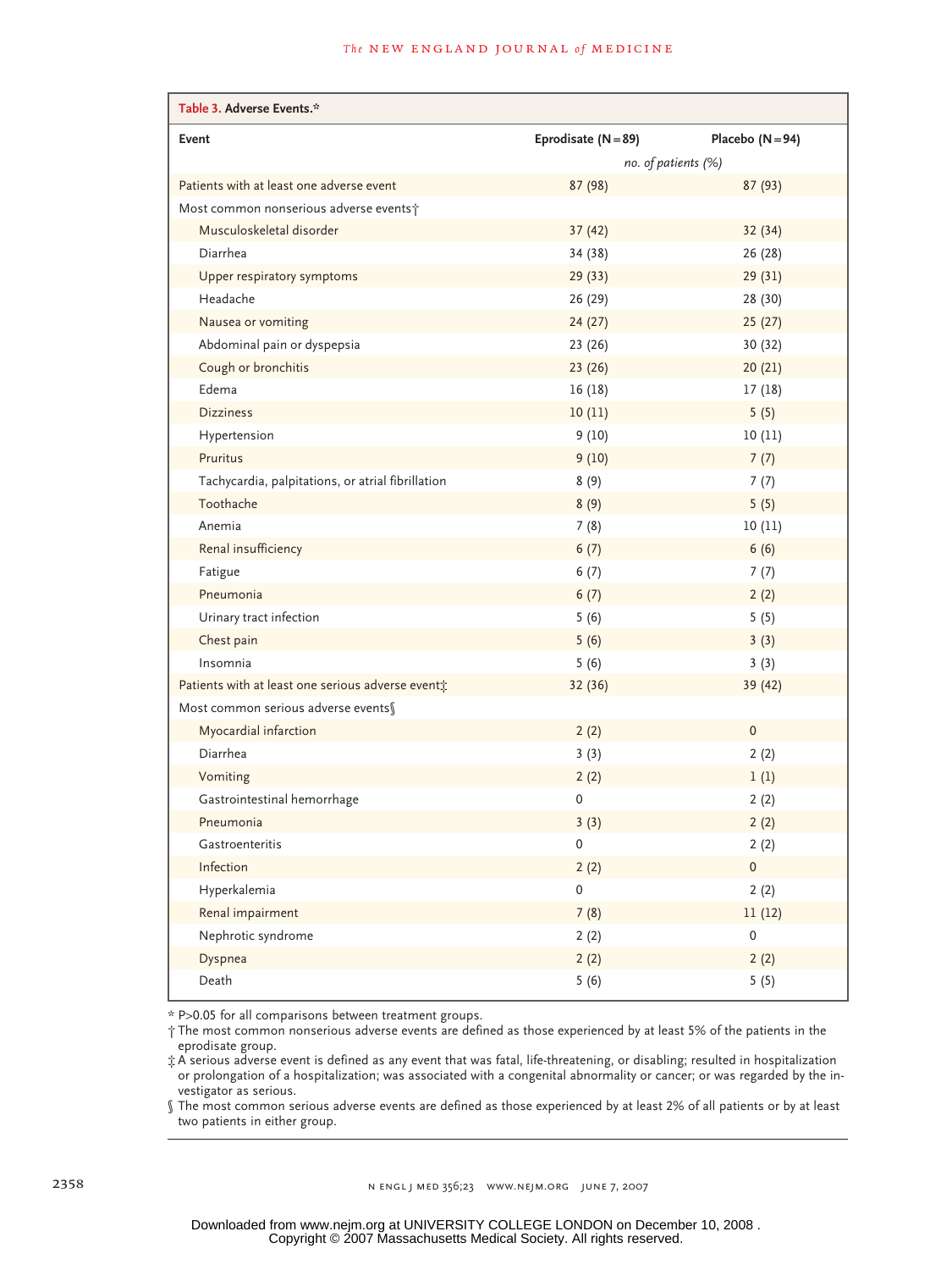| Table 3. Adverse Events.*                         |                       |                     |
|---------------------------------------------------|-----------------------|---------------------|
| Event                                             | Eprodisate $(N = 89)$ | Placebo $(N = 94)$  |
|                                                   | no. of patients (%)   |                     |
| Patients with at least one adverse event          | 87 (98)               | 87(93)              |
| Most common nonserious adverse events;            |                       |                     |
| Musculoskeletal disorder                          | 37(42)                | 32(34)              |
| Diarrhea                                          | 34 (38)               | 26(28)              |
| Upper respiratory symptoms                        | 29(33)                | 29(31)              |
| Headache                                          | 26 (29)               | 28 (30)             |
| Nausea or vomiting                                | 24(27)                | 25(27)              |
| Abdominal pain or dyspepsia                       | 23(26)                | 30 (32)             |
| Cough or bronchitis                               | 23(26)                | 20(21)              |
| Edema                                             | 16(18)                | 17(18)              |
| <b>Dizziness</b>                                  | 10(11)                | 5(5)                |
| Hypertension                                      | 9(10)                 | 10(11)              |
| Pruritus                                          | 9(10)                 | 7(7)                |
| Tachycardia, palpitations, or atrial fibrillation | 8(9)                  | 7(7)                |
| Toothache                                         | 8(9)                  | 5(5)                |
| Anemia                                            | 7(8)                  | 10(11)              |
| Renal insufficiency                               | 6(7)                  | 6(6)                |
| Fatigue                                           | 6(7)                  | 7(7)                |
| Pneumonia                                         | 6(7)                  | 2(2)                |
| Urinary tract infection                           | 5(6)                  | 5(5)                |
| Chest pain                                        | 5(6)                  | 3(3)                |
| Insomnia                                          | 5(6)                  | 3(3)                |
| Patients with at least one serious adverse event; | 32 (36)               | 39 (42)             |
| Most common serious adverse events§               |                       |                     |
| Myocardial infarction                             | 2(2)                  | $\mathbf{0}$        |
| Diarrhea                                          | 3(3)                  | 2(2)                |
| Vomiting                                          | 2(2)                  | 1(1)                |
| Gastrointestinal hemorrhage                       | 0                     | 2(2)                |
| Pneumonia                                         | 3(3)                  | 2(2)                |
| Gastroenteritis                                   | 0                     | 2(2)                |
| Infection                                         | 2(2)                  | $\mathsf{O}\xspace$ |
| Hyperkalemia                                      | 0                     | 2(2)                |
| Renal impairment                                  | 7(8)                  | 11(12)              |
| Nephrotic syndrome                                | 2(2)                  | $\mathsf{O}\xspace$ |
| Dyspnea                                           | 2(2)                  | 2(2)                |
| Death                                             | 5(6)                  | 5(5)                |

\* P>0.05 for all comparisons between treatment groups.

† The most common nonserious adverse events are defined as those experienced by at least 5% of the patients in the eprodisate group.

‡ A serious adverse event is defined as any event that was fatal, life-threatening, or disabling; resulted in hospitalization or prolongation of a hospitalization; was associated with a congenital abnormality or cancer; or was regarded by the investigator as serious.

§ The most common serious adverse events are defined as those experienced by at least 2% of all patients or by at least two patients in either group.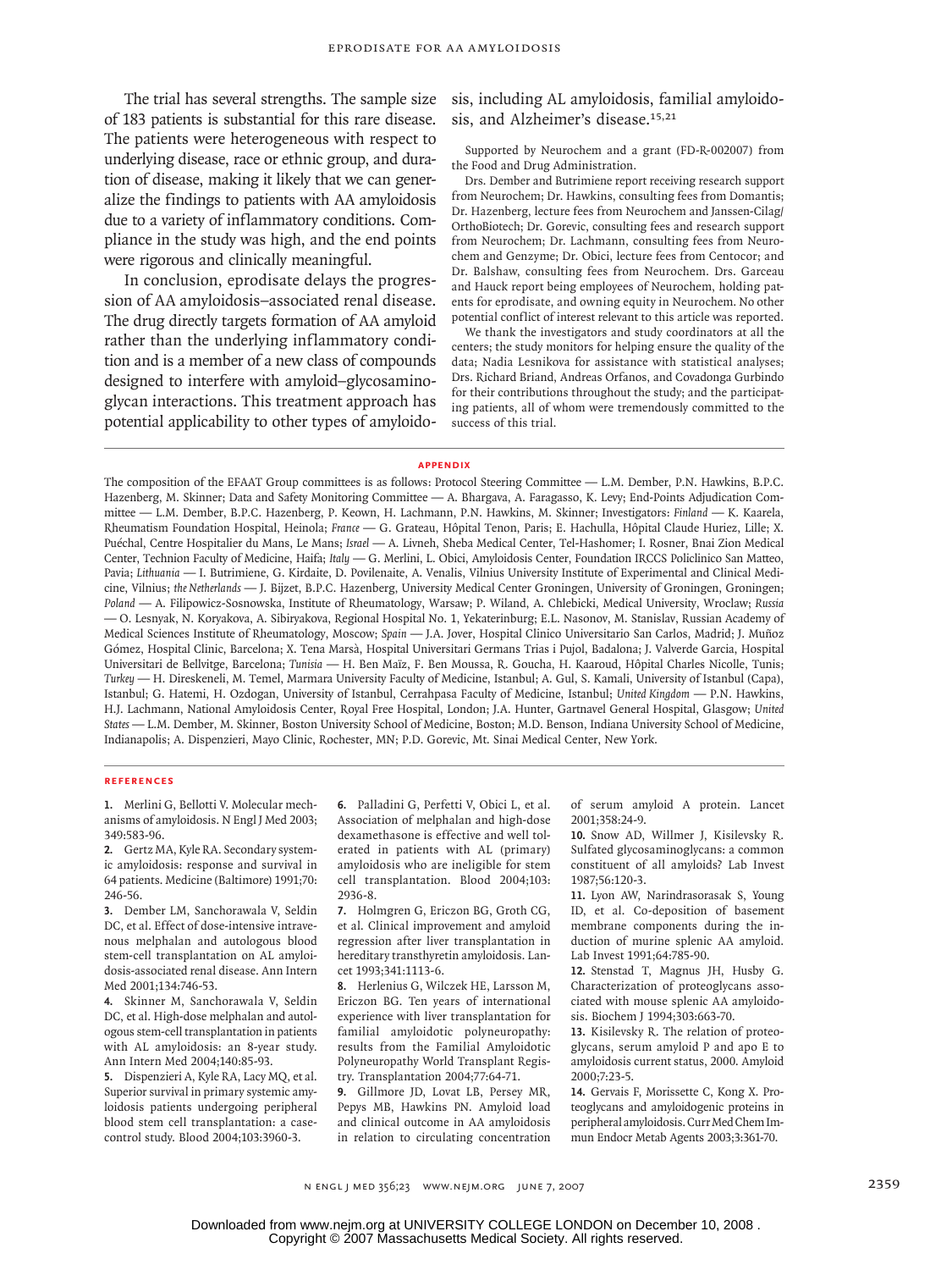The trial has several strengths. The sample size of 183 patients is substantial for this rare disease. The patients were heterogeneous with respect to underlying disease, race or ethnic group, and duration of disease, making it likely that we can generalize the findings to patients with AA amyloidosis due to a variety of inflammatory conditions. Compliance in the study was high, and the end points were rigorous and clinically meaningful.

In conclusion, eprodisate delays the progression of AA amyloidosis–associated renal disease. The drug directly targets formation of AA amyloid rather than the underlying inflammatory condition and is a member of a new class of compounds designed to interfere with amyloid–glycosaminoglycan interactions. This treatment approach has potential applicability to other types of amyloidosis, including AL amyloidosis, familial amyloidosis, and Alzheimer's disease.<sup>15,21</sup>

Supported by Neurochem and a grant (FD-R-002007) from the Food and Drug Administration.

Drs. Dember and Butrimiene report receiving research support from Neurochem; Dr. Hawkins, consulting fees from Domantis; Dr. Hazenberg, lecture fees from Neurochem and Janssen-Cilag/ OrthoBiotech; Dr. Gorevic, consulting fees and research support from Neurochem; Dr. Lachmann, consulting fees from Neurochem and Genzyme; Dr. Obici, lecture fees from Centocor; and Dr. Balshaw, consulting fees from Neurochem. Drs. Garceau and Hauck report being employees of Neurochem, holding patents for eprodisate, and owning equity in Neurochem. No other potential conflict of interest relevant to this article was reported.

We thank the investigators and study coordinators at all the centers; the study monitors for helping ensure the quality of the data; Nadia Lesnikova for assistance with statistical analyses; Drs. Richard Briand, Andreas Orfanos, and Covadonga Gurbindo for their contributions throughout the study; and the participating patients, all of whom were tremendously committed to the success of this trial.

#### **Appendix**

The composition of the EFAAT Group committees is as follows: Protocol Steering Committee — L.M. Dember, P.N. Hawkins, B.P.C. Hazenberg, M. Skinner; Data and Safety Monitoring Committee — A. Bhargava, A. Faragasso, K. Levy; End-Points Adjudication Committee — L.M. Dember, B.P.C. Hazenberg, P. Keown, H. Lachmann, P.N. Hawkins, M. Skinner; Investigators: *Finland* — K. Kaarela, Rheumatism Foundation Hospital, Heinola; *France* — G. Grateau, Hôpital Tenon, Paris; E. Hachulla, Hôpital Claude Huriez, Lille; X. Puéchal, Centre Hospitalier du Mans, Le Mans; *Israel* — A. Livneh, Sheba Medical Center, Tel-Hashomer; I. Rosner, Bnai Zion Medical Center, Technion Faculty of Medicine, Haifa; *Italy* — G. Merlini, L. Obici, Amyloidosis Center, Foundation IRCCS Policlinico San Matteo, Pavia; *Lithuania* — I. Butrimiene, G. Kirdaite, D. Povilenaite, A. Venalis, Vilnius University Institute of Experimental and Clinical Medicine, Vilnius; *the Netherlands* — J. Bijzet, B.P.C. Hazenberg, University Medical Center Groningen, University of Groningen, Groningen; *Poland* — A. Filipowicz-Sosnowska, Institute of Rheumatology, Warsaw; P. Wiland, A. Chlebicki, Medical University, Wroclaw; *Russia* — O. Lesnyak, N. Koryakova, A. Sibiryakova, Regional Hospital No. 1, Yekaterinburg; E.L. Nasonov, M. Stanislav, Russian Academy of Medical Sciences Institute of Rheumatology, Moscow; *Spain* — J.A. Jover, Hospital Clinico Universitario San Carlos, Madrid; J. Muñoz Gómez, Hospital Clinic, Barcelona; X. Tena Marsà, Hospital Universitari Germans Trias i Pujol, Badalona; J. Valverde Garcia, Hospital Universitari de Bellvitge, Barcelona; *Tunisia* — H. Ben Maïz, F. Ben Moussa, R. Goucha, H. Kaaroud, Hôpital Charles Nicolle, Tunis; *Turkey* — H. Direskeneli, M. Temel, Marmara University Faculty of Medicine, Istanbul; A. Gul, S. Kamali, University of Istanbul (Capa), Istanbul; G. Hatemi, H. Ozdogan, University of Istanbul, Cerrahpasa Faculty of Medicine, Istanbul; *United Kingdom* — P.N. Hawkins, H.J. Lachmann, National Amyloidosis Center, Royal Free Hospital, London; J.A. Hunter, Gartnavel General Hospital, Glasgow; *United States* — L.M. Dember, M. Skinner, Boston University School of Medicine, Boston; M.D. Benson, Indiana University School of Medicine, Indianapolis; A. Dispenzieri, Mayo Clinic, Rochester, MN; P.D. Gorevic, Mt. Sinai Medical Center, New York.

#### **References**

1. Merlini G, Bellotti V. Molecular mechanisms of amyloidosis. N Engl J Med 2003; 349:583-96.

Gertz MA, Kyle RA. Secondary system-**2.** ic amyloidosis: response and survival in 64 patients. Medicine (Baltimore) 1991;70: 246-56.

Dember LM, Sanchorawala V, Seldin **3.** DC, et al. Effect of dose-intensive intravenous melphalan and autologous blood stem-cell transplantation on AL amyloidosis-associated renal disease. Ann Intern Med 2001;134:746-53.

Skinner M, Sanchorawala V, Seldin **4.** DC, et al. High-dose melphalan and autologous stem-cell transplantation in patients with AL amyloidosis: an 8-year study. Ann Intern Med 2004;140:85-93.

5. Dispenzieri A, Kyle RA, Lacy MQ, et al. Superior survival in primary systemic amyloidosis patients undergoing peripheral blood stem cell transplantation: a casecontrol study. Blood 2004;103:3960-3.

Palladini G, Perfetti V, Obici L, et al. **6.** Association of melphalan and high-dose dexamethasone is effective and well tolerated in patients with AL (primary) amyloidosis who are ineligible for stem cell transplantation. Blood 2004;103: 2936-8.

7. Holmgren G, Ericzon BG, Groth CG, et al. Clinical improvement and amyloid regression after liver transplantation in hereditary transthyretin amyloidosis. Lancet 1993;341:1113-6.

Herlenius G, Wilczek HE, Larsson M, **8.** Ericzon BG. Ten years of international experience with liver transplantation for familial amyloidotic polyneuropathy: results from the Familial Amyloidotic Polyneuropathy World Transplant Registry. Transplantation 2004;77:64-71.

Gillmore JD, Lovat LB, Persey MR, **9.** Pepys MB, Hawkins PN. Amyloid load and clinical outcome in AA amyloidosis in relation to circulating concentration

of serum amyloid A protein. Lancet 2001;358:24-9.

10. Snow AD, Willmer J, Kisilevsky R. Sulfated glycosaminoglycans: a common constituent of all amyloids? Lab Invest 1987;56:120-3.

11. Lyon AW, Narindrasorasak S, Young ID, et al. Co-deposition of basement membrane components during the induction of murine splenic AA amyloid. Lab Invest 1991;64:785-90.

12. Stenstad T, Magnus JH, Husby G. Characterization of proteoglycans associated with mouse splenic AA amyloidosis. Biochem J 1994;303:663-70.

13. Kisilevsky R. The relation of proteoglycans, serum amyloid P and apo E to amyloidosis current status, 2000. Amyloid 2000;7:23-5.

14. Gervais F, Morissette C, Kong X. Proteoglycans and amyloidogenic proteins in peripheral amyloidosis. Curr Med Chem Immun Endocr Metab Agents 2003;3:361-70.